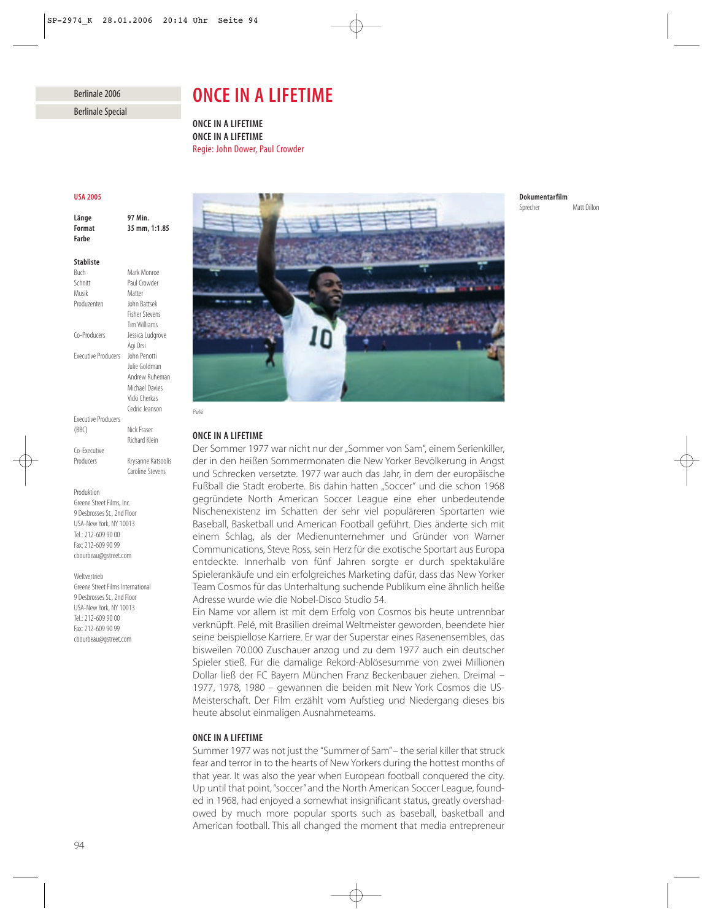## Berlinale 2006 Berlinale Special

# *ONCE IN A LIFETIME*

*ONCE IN A LIFETIME ONCE IN A LIFETIME* Regie: John Dower, Paul Crowder

## *USA 2005*

| 97 Min.       |
|---------------|
| 35 mm, 1:1.85 |
|               |
|               |

| <b>Stabliste</b>           |                       |
|----------------------------|-----------------------|
| Buch                       | Mark Monroe           |
| Schnitt                    | Paul Crowder          |
| Musik                      | Matter                |
| Produzenten                | John Battsek          |
|                            | <b>Fisher Stevens</b> |
|                            | Tim Williams          |
| Co-Producers               | Jessica Ludgrove      |
|                            | Agi Orsi              |
| <b>Executive Producers</b> | <b>John Penotti</b>   |
|                            | Julie Goldman         |
|                            | Andrew Ruhemar        |
|                            | Michael Davies        |
|                            | Vicki Cherkas         |
|                            | Cedric Jeanson        |
| <b>Executive Producers</b> |                       |
| (BBC)                      | Nick Fraser           |
|                            | Richard Klein         |

Co-Executive Producers Krysanne Katsoolis

#### Produktion

Greene Street Films, Inc. 9 Desbrosses St., 2nd Floor USA-New York, NY 10013 Tel.: 212-609 90 00 Fax: 212-609 90 99 cbourbeau@gstreet.com

Caroline Stevens

#### Weltvertrieb

Greene Street Films International 9 Desbrosses St., 2nd Floor USA-New York, NY 10013 Tel.: 212-609 90 00 Fax: 212-609 90 99 cbourbeau@gstreet.com



## *ONCE IN A LIFETIME*

Der Sommer 1977 war nicht nur der "Sommer von Sam", einem Serienkiller, der in den heißen Sommermonaten die New Yorker Bevölkerung in Angst und Schrecken versetzte. 1977 war auch das Jahr, in dem der europäische Fußball die Stadt eroberte. Bis dahin hatten "Soccer" und die schon 1968 gegründete North American Soccer League eine eher unbedeutende Nischenexistenz im Schatten der sehr viel populäreren Sportarten wie Baseball, Basketball und American Football geführt. Dies änderte sich mit einem Schlag, als der Medienunternehmer und Gründer von Warner Communications, Steve Ross, sein Herz für die exotische Sportart aus Europa entdeckte. Innerhalb von fünf Jahren sorgte er durch spektakuläre Spielerankäufe und ein erfolgreiches Marketing dafür, dass das New Yorker Team Cosmos für das Unterhaltung suchende Publikum eine ähnlich heiße Adresse wurde wie die Nobel-Disco Studio 54.

Ein Name vor allem ist mit dem Erfolg von Cosmos bis heute untrennbar verknüpft. Pelé, mit Brasilien dreimal Weltmeister geworden, beendete hier seine beispiellose Karriere. Er war der Superstar eines Rasenensembles, das bisweilen 70.000 Zuschauer anzog und zu dem 1977 auch ein deutscher Spieler stieß. Für die damalige Rekord-Ablösesumme von zwei Millionen Dollar ließ der FC Bayern München Franz Beckenbauer ziehen. Dreimal – 1977, 1978, 1980 – gewannen die beiden mit New York Cosmos die US-Meisterschaft. Der Film erzählt vom Aufstieg und Niedergang dieses bis heute absolut einmaligen Ausnahmeteams.

## *ONCE IN A LIFETIME*

Summer 1977 was not just the "Summer of Sam"– the serial killer that struck fear and terror in to the hearts of New Yorkers during the hottest months of that year. It was also the year when European football conquered the city. Up until that point, "soccer" and the North American Soccer League, founded in 1968, had enjoyed a somewhat insignificant status, greatly overshadowed by much more popular sports such as baseball, basketball and American football. This all changed the moment that media entrepreneur

#### *Dokumentarfilm* Sprecher Matt Dillon